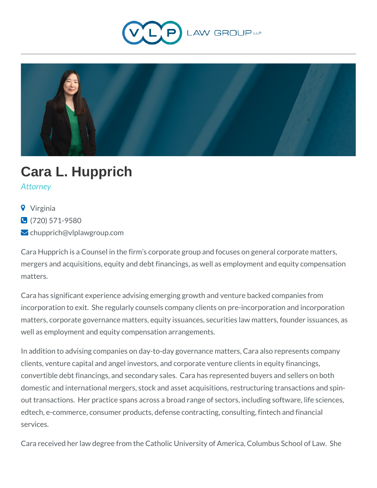



# **Cara L. Hupprich**

*Attorney*

- **9** Virginia
- (720) 571-9580
- **L** chupprich@vlplawgroup.com

Cara Hupprich is a Counsel in the firm's corporate group and focuses on general corporate matters, mergers and acquisitions, equity and debt financings, as well as employment and equity compensation matters.

Cara has significant experience advising emerging growth and venture backed companies from incorporation to exit. She regularly counsels company clients on pre-incorporation and incorporation matters, corporate governance matters, equity issuances, securities law matters, founder issuances, as well as employment and equity compensation arrangements.

In addition to advising companies on day-to-day governance matters, Cara also represents company clients, venture capital and angel investors, and corporate venture clients in equity financings, convertible debt financings, and secondary sales. Cara has represented buyers and sellers on both domestic and international mergers, stock and asset acquisitions, restructuring transactions and spinout transactions. Her practice spans across a broad range of sectors, including software, life sciences, edtech, e-commerce, consumer products, defense contracting, consulting, fintech and financial services.

Cara received her law degree from the Catholic University of America, Columbus School of Law. She